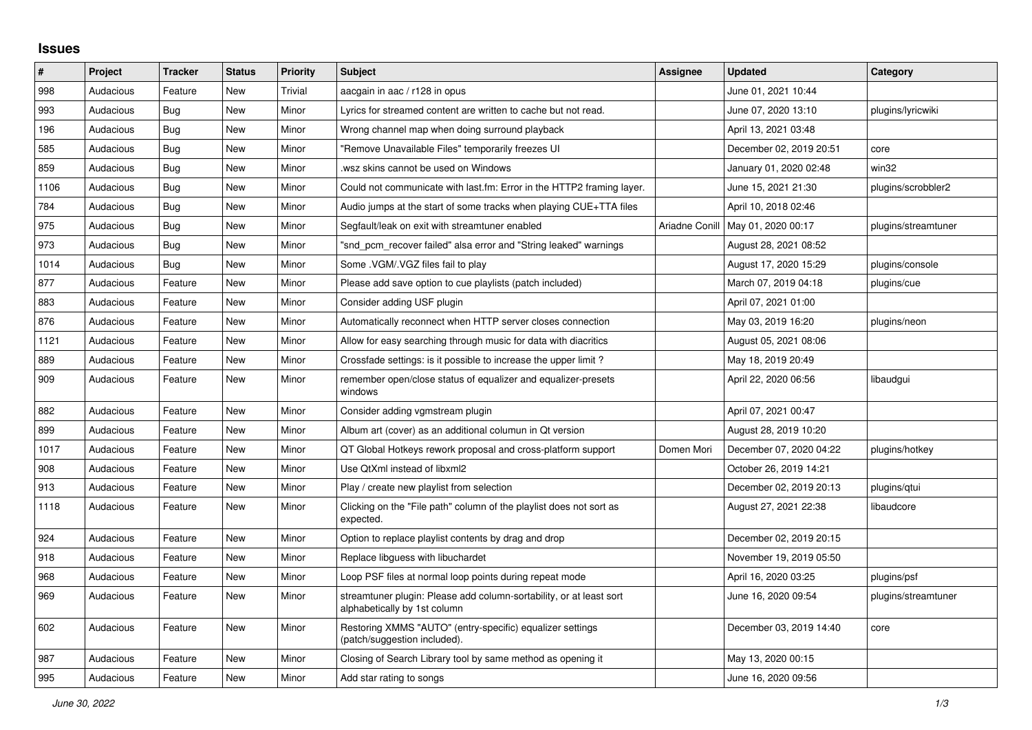## **Issues**

| $\sharp$ | Project   | <b>Tracker</b> | <b>Status</b> | <b>Priority</b> | <b>Subject</b>                                                                                      | Assignee       | <b>Updated</b>          | Category            |
|----------|-----------|----------------|---------------|-----------------|-----------------------------------------------------------------------------------------------------|----------------|-------------------------|---------------------|
| 998      | Audacious | Feature        | <b>New</b>    | Trivial         | aacgain in aac / r128 in opus                                                                       |                | June 01, 2021 10:44     |                     |
| 993      | Audacious | Bug            | <b>New</b>    | Minor           | Lyrics for streamed content are written to cache but not read.                                      |                | June 07, 2020 13:10     | plugins/lyricwiki   |
| 196      | Audacious | Bug            | <b>New</b>    | Minor           | Wrong channel map when doing surround playback                                                      |                | April 13, 2021 03:48    |                     |
| 585      | Audacious | <b>Bug</b>     | <b>New</b>    | Minor           | "Remove Unavailable Files" temporarily freezes UI                                                   |                | December 02, 2019 20:51 | core                |
| 859      | Audacious | Bug            | New           | Minor           | wsz skins cannot be used on Windows.                                                                |                | January 01, 2020 02:48  | win32               |
| 1106     | Audacious | Bug            | New           | Minor           | Could not communicate with last.fm: Error in the HTTP2 framing layer.                               |                | June 15, 2021 21:30     | plugins/scrobbler2  |
| 784      | Audacious | <b>Bug</b>     | <b>New</b>    | Minor           | Audio jumps at the start of some tracks when playing CUE+TTA files                                  |                | April 10, 2018 02:46    |                     |
| 975      | Audacious | Bug            | <b>New</b>    | Minor           | Segfault/leak on exit with streamtuner enabled                                                      | Ariadne Conill | May 01, 2020 00:17      | plugins/streamtuner |
| 973      | Audacious | Bug            | <b>New</b>    | Minor           | "snd pcm recover failed" alsa error and "String leaked" warnings                                    |                | August 28, 2021 08:52   |                     |
| 1014     | Audacious | Bug            | <b>New</b>    | Minor           | Some .VGM/.VGZ files fail to play                                                                   |                | August 17, 2020 15:29   | plugins/console     |
| 877      | Audacious | Feature        | <b>New</b>    | Minor           | Please add save option to cue playlists (patch included)                                            |                | March 07, 2019 04:18    | plugins/cue         |
| 883      | Audacious | Feature        | <b>New</b>    | Minor           | Consider adding USF plugin                                                                          |                | April 07, 2021 01:00    |                     |
| 876      | Audacious | Feature        | New           | Minor           | Automatically reconnect when HTTP server closes connection                                          |                | May 03, 2019 16:20      | plugins/neon        |
| 1121     | Audacious | Feature        | <b>New</b>    | Minor           | Allow for easy searching through music for data with diacritics                                     |                | August 05, 2021 08:06   |                     |
| 889      | Audacious | Feature        | New           | Minor           | Crossfade settings: is it possible to increase the upper limit?                                     |                | May 18, 2019 20:49      |                     |
| 909      | Audacious | Feature        | <b>New</b>    | Minor           | remember open/close status of equalizer and equalizer-presets<br>windows                            |                | April 22, 2020 06:56    | libaudgui           |
| 882      | Audacious | Feature        | <b>New</b>    | Minor           | Consider adding vgmstream plugin                                                                    |                | April 07, 2021 00:47    |                     |
| 899      | Audacious | Feature        | <b>New</b>    | Minor           | Album art (cover) as an additional columun in Qt version                                            |                | August 28, 2019 10:20   |                     |
| 1017     | Audacious | Feature        | <b>New</b>    | Minor           | QT Global Hotkeys rework proposal and cross-platform support                                        | Domen Mori     | December 07, 2020 04:22 | plugins/hotkey      |
| 908      | Audacious | Feature        | <b>New</b>    | Minor           | Use QtXml instead of libxml2                                                                        |                | October 26, 2019 14:21  |                     |
| 913      | Audacious | Feature        | New           | Minor           | Play / create new playlist from selection                                                           |                | December 02, 2019 20:13 | plugins/gtui        |
| 1118     | Audacious | Feature        | New           | Minor           | Clicking on the "File path" column of the playlist does not sort as<br>expected.                    |                | August 27, 2021 22:38   | libaudcore          |
| 924      | Audacious | Feature        | New           | Minor           | Option to replace playlist contents by drag and drop                                                |                | December 02, 2019 20:15 |                     |
| 918      | Audacious | Feature        | <b>New</b>    | Minor           | Replace libguess with libuchardet                                                                   |                | November 19, 2019 05:50 |                     |
| 968      | Audacious | Feature        | <b>New</b>    | Minor           | Loop PSF files at normal loop points during repeat mode                                             |                | April 16, 2020 03:25    | plugins/psf         |
| 969      | Audacious | Feature        | New           | Minor           | streamtuner plugin: Please add column-sortability, or at least sort<br>alphabetically by 1st column |                | June 16, 2020 09:54     | plugins/streamtuner |
| 602      | Audacious | Feature        | <b>New</b>    | Minor           | Restoring XMMS "AUTO" (entry-specific) equalizer settings<br>(patch/suggestion included).           |                | December 03, 2019 14:40 | core                |
| 987      | Audacious | Feature        | <b>New</b>    | Minor           | Closing of Search Library tool by same method as opening it                                         |                | May 13, 2020 00:15      |                     |
| 995      | Audacious | Feature        | New           | Minor           | Add star rating to songs                                                                            |                | June 16, 2020 09:56     |                     |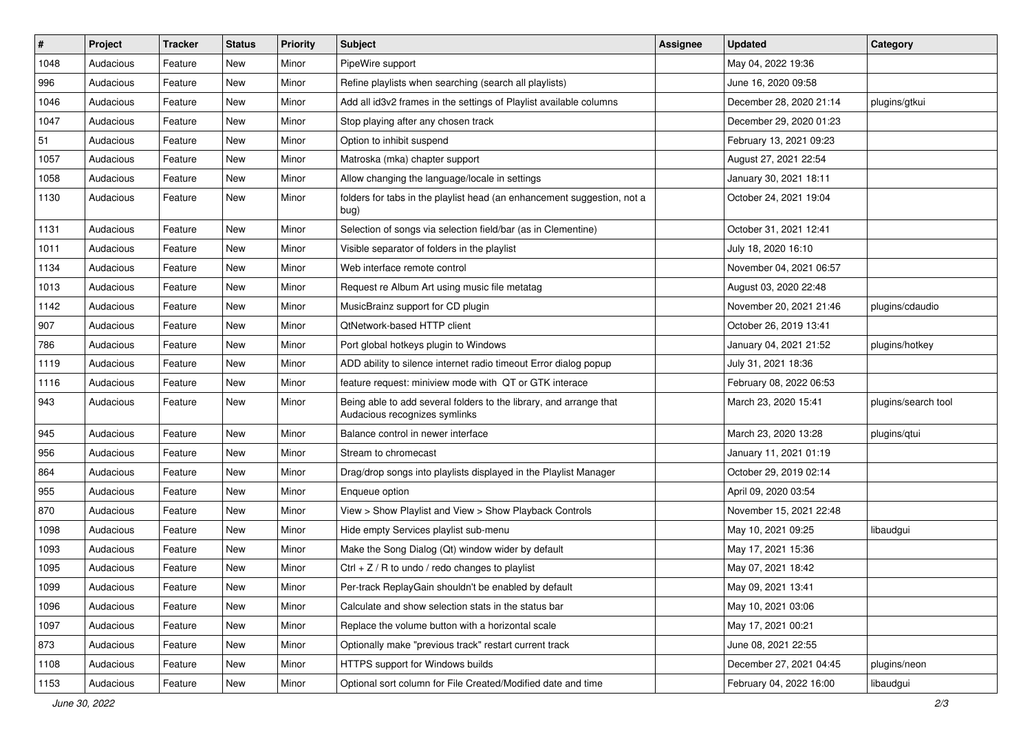| $\vert$ # | Project   | Tracker | <b>Status</b> | <b>Priority</b> | Subject                                                                                             | <b>Assignee</b> | <b>Updated</b>          | Category            |
|-----------|-----------|---------|---------------|-----------------|-----------------------------------------------------------------------------------------------------|-----------------|-------------------------|---------------------|
| 1048      | Audacious | Feature | New           | Minor           | PipeWire support                                                                                    |                 | May 04, 2022 19:36      |                     |
| 996       | Audacious | Feature | <b>New</b>    | Minor           | Refine playlists when searching (search all playlists)                                              |                 | June 16, 2020 09:58     |                     |
| 1046      | Audacious | Feature | New           | Minor           | Add all id3v2 frames in the settings of Playlist available columns                                  |                 | December 28, 2020 21:14 | plugins/gtkui       |
| 1047      | Audacious | Feature | New           | Minor           | Stop playing after any chosen track                                                                 |                 | December 29, 2020 01:23 |                     |
| 51        | Audacious | Feature | New           | Minor           | Option to inhibit suspend                                                                           |                 | February 13, 2021 09:23 |                     |
| 1057      | Audacious | Feature | New           | Minor           | Matroska (mka) chapter support                                                                      |                 | August 27, 2021 22:54   |                     |
| 1058      | Audacious | Feature | New           | Minor           | Allow changing the language/locale in settings                                                      |                 | January 30, 2021 18:11  |                     |
| 1130      | Audacious | Feature | New           | Minor           | folders for tabs in the playlist head (an enhancement suggestion, not a<br>bug)                     |                 | October 24, 2021 19:04  |                     |
| 1131      | Audacious | Feature | <b>New</b>    | Minor           | Selection of songs via selection field/bar (as in Clementine)                                       |                 | October 31, 2021 12:41  |                     |
| 1011      | Audacious | Feature | New           | Minor           | Visible separator of folders in the playlist                                                        |                 | July 18, 2020 16:10     |                     |
| 1134      | Audacious | Feature | New           | Minor           | Web interface remote control                                                                        |                 | November 04, 2021 06:57 |                     |
| 1013      | Audacious | Feature | New           | Minor           | Request re Album Art using music file metatag                                                       |                 | August 03, 2020 22:48   |                     |
| 1142      | Audacious | Feature | New           | Minor           | MusicBrainz support for CD plugin                                                                   |                 | November 20, 2021 21:46 | plugins/cdaudio     |
| 907       | Audacious | Feature | New           | Minor           | QtNetwork-based HTTP client                                                                         |                 | October 26, 2019 13:41  |                     |
| 786       | Audacious | Feature | New           | Minor           | Port global hotkeys plugin to Windows                                                               |                 | January 04, 2021 21:52  | plugins/hotkey      |
| 1119      | Audacious | Feature | New           | Minor           | ADD ability to silence internet radio timeout Error dialog popup                                    |                 | July 31, 2021 18:36     |                     |
| 1116      | Audacious | Feature | New           | Minor           | feature request: miniview mode with QT or GTK interace                                              |                 | February 08, 2022 06:53 |                     |
| 943       | Audacious | Feature | New           | Minor           | Being able to add several folders to the library, and arrange that<br>Audacious recognizes symlinks |                 | March 23, 2020 15:41    | plugins/search tool |
| 945       | Audacious | Feature | New           | Minor           | Balance control in newer interface                                                                  |                 | March 23, 2020 13:28    | plugins/qtui        |
| 956       | Audacious | Feature | New           | Minor           | Stream to chromecast                                                                                |                 | January 11, 2021 01:19  |                     |
| 864       | Audacious | Feature | <b>New</b>    | Minor           | Drag/drop songs into playlists displayed in the Playlist Manager                                    |                 | October 29, 2019 02:14  |                     |
| 955       | Audacious | Feature | New           | Minor           | Enqueue option                                                                                      |                 | April 09, 2020 03:54    |                     |
| 870       | Audacious | Feature | New           | Minor           | View > Show Playlist and View > Show Playback Controls                                              |                 | November 15, 2021 22:48 |                     |
| 1098      | Audacious | Feature | New           | Minor           | Hide empty Services playlist sub-menu                                                               |                 | May 10, 2021 09:25      | libaudgui           |
| 1093      | Audacious | Feature | New           | Minor           | Make the Song Dialog (Qt) window wider by default                                                   |                 | May 17, 2021 15:36      |                     |
| 1095      | Audacious | Feature | <b>New</b>    | Minor           | Ctrl + $Z$ / R to undo / redo changes to playlist                                                   |                 | May 07, 2021 18:42      |                     |
| 1099      | Audacious | Feature | New           | Minor           | Per-track ReplayGain shouldn't be enabled by default                                                |                 | May 09, 2021 13:41      |                     |
| 1096      | Audacious | Feature | New           | Minor           | Calculate and show selection stats in the status bar                                                |                 | May 10, 2021 03:06      |                     |
| 1097      | Audacious | Feature | New           | Minor           | Replace the volume button with a horizontal scale                                                   |                 | May 17, 2021 00:21      |                     |
| 873       | Audacious | Feature | New           | Minor           | Optionally make "previous track" restart current track                                              |                 | June 08, 2021 22:55     |                     |
| 1108      | Audacious | Feature | New           | Minor           | HTTPS support for Windows builds                                                                    |                 | December 27, 2021 04:45 | plugins/neon        |
| 1153      | Audacious | Feature | New           | Minor           | Optional sort column for File Created/Modified date and time                                        |                 | February 04, 2022 16:00 | libaudgui           |